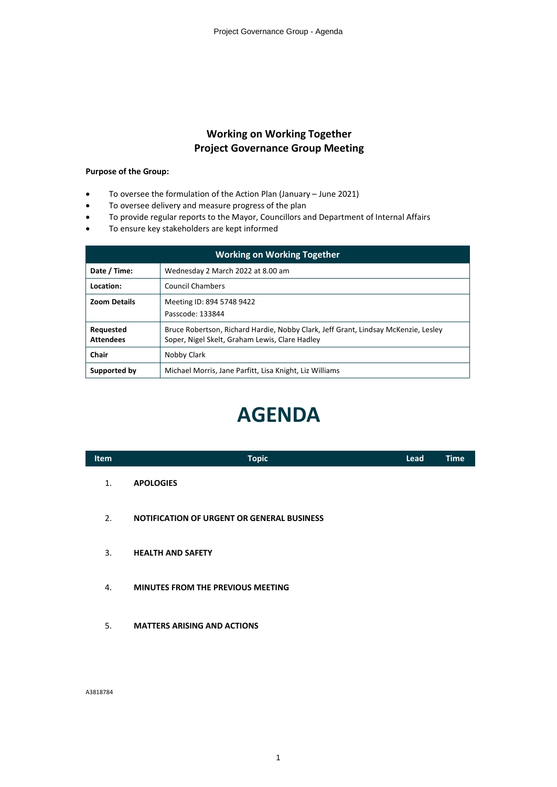# **Working on Working Together Project Governance Group Meeting**

## **Purpose of the Group:**

- ∑ To oversee the formulation of the Action Plan (January June 2021)
- To oversee delivery and measure progress of the plan
- To provide regular reports to the Mayor, Councillors and Department of Internal Affairs
- ∑ To ensure key stakeholders are kept informed

| <b>Working on Working Together</b> |                                                                                                                                      |  |  |  |
|------------------------------------|--------------------------------------------------------------------------------------------------------------------------------------|--|--|--|
| Date / Time:                       | Wednesday 2 March 2022 at 8.00 am                                                                                                    |  |  |  |
| Location:                          | <b>Council Chambers</b>                                                                                                              |  |  |  |
| <b>Zoom Details</b>                | Meeting ID: 894 5748 9422<br>Passcode: 133844                                                                                        |  |  |  |
| Requested<br><b>Attendees</b>      | Bruce Robertson, Richard Hardie, Nobby Clark, Jeff Grant, Lindsay McKenzie, Lesley<br>Soper, Nigel Skelt, Graham Lewis, Clare Hadley |  |  |  |
| Chair                              | Nobby Clark                                                                                                                          |  |  |  |
| Supported by                       | Michael Morris, Jane Parfitt, Lisa Knight, Liz Williams                                                                              |  |  |  |

# **AGENDA**

| <b>Item</b> | <b>Topic</b>                                      | <b>Lead</b> | <b>Time</b> |
|-------------|---------------------------------------------------|-------------|-------------|
| 1.          | <b>APOLOGIES</b>                                  |             |             |
| 2.          | <b>NOTIFICATION OF URGENT OR GENERAL BUSINESS</b> |             |             |
| 3.          | <b>HEALTH AND SAFETY</b>                          |             |             |
| 4.          | <b>MINUTES FROM THE PREVIOUS MEETING</b>          |             |             |

5. **MATTERS ARISING AND ACTIONS**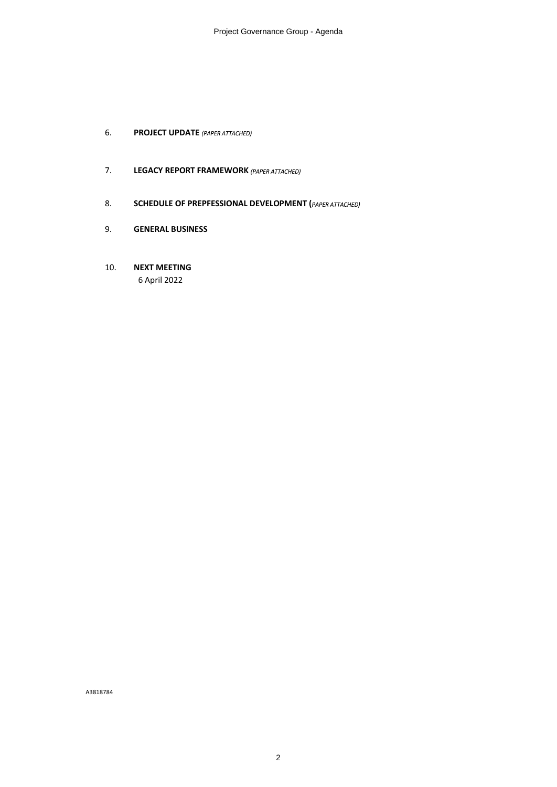- **6. PROJECT UPDATE** (PAPER ATTACHED)
- 7. **LEGACY REPORT FRAMEWORK**
- 8. **SCHEDULE OF PREPFESSIONAL DEVELOPMENT** (*PAPER ATTACHED*)
- 9. **GENERAL BUSINESS**
- 10. **NEXT MEETING** 6 April 2022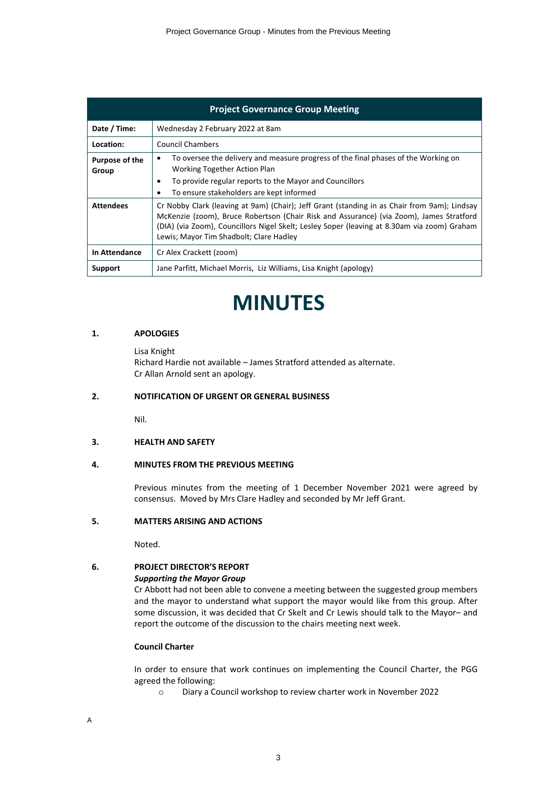|                         | <b>Project Governance Group Meeting</b>                                                                                                                                                                                                                                                                                           |  |  |  |  |  |
|-------------------------|-----------------------------------------------------------------------------------------------------------------------------------------------------------------------------------------------------------------------------------------------------------------------------------------------------------------------------------|--|--|--|--|--|
| Date / Time:            | Wednesday 2 February 2022 at 8am                                                                                                                                                                                                                                                                                                  |  |  |  |  |  |
| Location:               | Council Chambers                                                                                                                                                                                                                                                                                                                  |  |  |  |  |  |
| Purpose of the<br>Group | To oversee the delivery and measure progress of the final phases of the Working on<br>٠<br>Working Together Action Plan<br>To provide regular reports to the Mayor and Councillors<br>٠<br>To ensure stakeholders are kept informed                                                                                               |  |  |  |  |  |
| <b>Attendees</b>        | Cr Nobby Clark (leaving at 9am) (Chair); Jeff Grant (standing in as Chair from 9am); Lindsay<br>McKenzie (zoom), Bruce Robertson (Chair Risk and Assurance) (via Zoom), James Stratford<br>(DIA) (via Zoom), Councillors Nigel Skelt; Lesley Soper (leaving at 8.30am via zoom) Graham<br>Lewis; Mayor Tim Shadbolt; Clare Hadley |  |  |  |  |  |
| In Attendance           | Cr Alex Crackett (zoom)                                                                                                                                                                                                                                                                                                           |  |  |  |  |  |
| Support                 | Jane Parfitt, Michael Morris, Liz Williams, Lisa Knight (apology)                                                                                                                                                                                                                                                                 |  |  |  |  |  |

# **MINUTES**

## **1. APOLOGIES**

Lisa Knight

Richard Hardie not available – James Stratford attended as alternate. Cr Allan Arnold sent an apology.

#### **2. NOTIFICATION OF URGENT OR GENERAL BUSINESS**

Nil.

#### **3. HEALTH AND SAFETY**

## **4. MINUTES FROM THE PREVIOUS MEETING**

Previous minutes from the meeting of 1 December November 2021 were agreed by consensus. Moved by Mrs Clare Hadley and seconded by Mr Jeff Grant.

#### **5. MATTERS ARISING AND ACTIONS**

Noted.

## **6. PROJECT DIRECTOR'S REPORT**

#### *Supporting the Mayor Group*

Cr Abbott had not been able to convene a meeting between the suggested group members and the mayor to understand what support the mayor would like from this group. After some discussion, it was decided that Cr Skelt and Cr Lewis should talk to the Mayor– and report the outcome of the discussion to the chairs meeting next week.

#### **Council Charter**

In order to ensure that work continues on implementing the Council Charter, the PGG agreed the following:

o Diary a Council workshop to review charter work in November 2022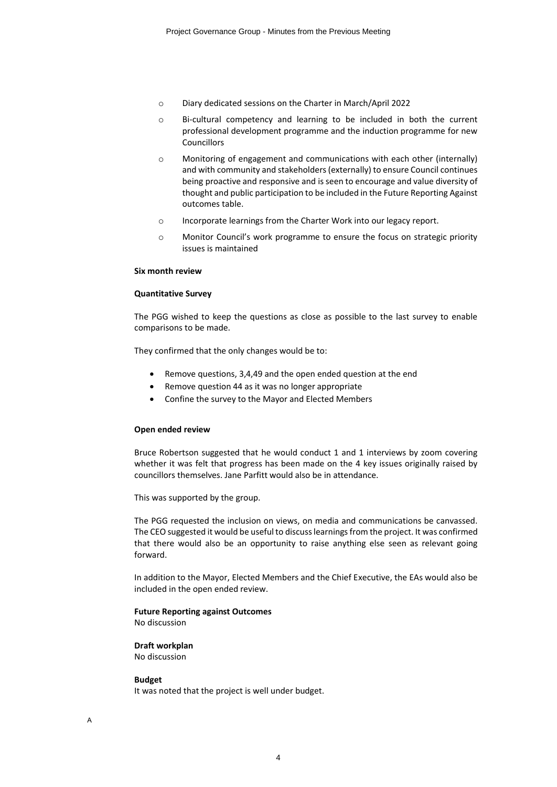- o Diary dedicated sessions on the Charter in March/April 2022
- o Bi-cultural competency and learning to be included in both the current professional development programme and the induction programme for new Councillors
- o Monitoring of engagement and communications with each other (internally) and with community and stakeholders (externally) to ensure Council continues being proactive and responsive and is seen to encourage and value diversity of thought and public participation to be included in the Future Reporting Against outcomes table.
- o Incorporate learnings from the Charter Work into our legacy report.
- o Monitor Council's work programme to ensure the focus on strategic priority issues is maintained

#### **Six month review**

#### **Quantitative Survey**

The PGG wished to keep the questions as close as possible to the last survey to enable comparisons to be made.

They confirmed that the only changes would be to:

- Remove questions, 3,4,49 and the open ended question at the end
- Remove question 44 as it was no longer appropriate
- ∑ Confine the survey to the Mayor and Elected Members

#### **Open ended review**

Bruce Robertson suggested that he would conduct 1 and 1 interviews by zoom covering whether it was felt that progress has been made on the 4 key issues originally raised by councillors themselves. Jane Parfitt would also be in attendance.

This was supported by the group.

The PGG requested the inclusion on views, on media and communications be canvassed. The CEO suggested it would be useful to discuss learnings from the project. It was confirmed that there would also be an opportunity to raise anything else seen as relevant going forward.

In addition to the Mayor, Elected Members and the Chief Executive, the EAs would also be included in the open ended review.

## **Future Reporting against Outcomes**

No discussion

#### **Draft workplan**

No discussion

#### **Budget**

It was noted that the project is well under budget.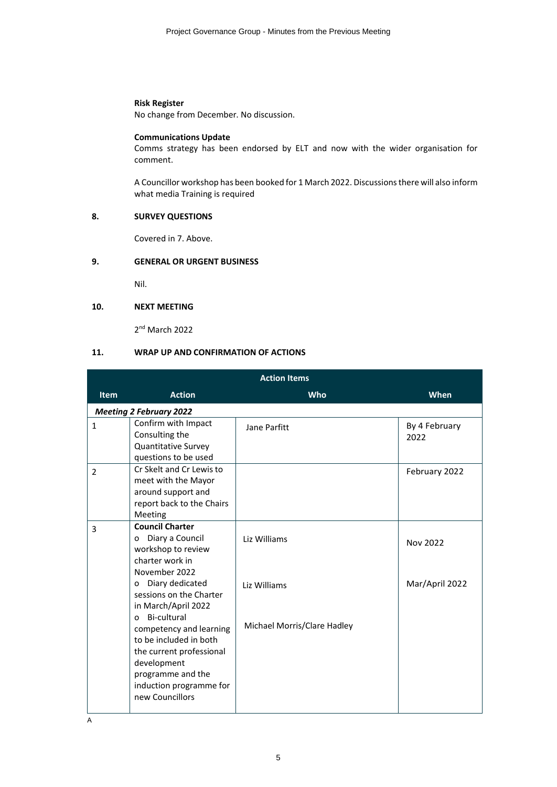#### **Risk Register**

No change from December. No discussion.

#### **Communications Update**

Comms strategy has been endorsed by ELT and now with the wider organisation for comment.

A Councillor workshop has been booked for 1 March 2022. Discussions there will also inform what media Training is required

## **8. SURVEY QUESTIONS**

Covered in 7. Above.

## **9. GENERAL OR URGENT BUSINESS**

Nil.

## **10. NEXT MEETING**

2nd March 2022

## **11. WRAP UP AND CONFIRMATION OF ACTIONS**

| <b>Action Items</b> |                                                                                                                                                                                                                                                                                                                      |                                                             |                            |  |  |
|---------------------|----------------------------------------------------------------------------------------------------------------------------------------------------------------------------------------------------------------------------------------------------------------------------------------------------------------------|-------------------------------------------------------------|----------------------------|--|--|
| <b>Item</b>         | <b>Action</b>                                                                                                                                                                                                                                                                                                        | Who                                                         | <b>When</b>                |  |  |
|                     | <b>Meeting 2 February 2022</b>                                                                                                                                                                                                                                                                                       |                                                             |                            |  |  |
| $\mathbf{1}$        | Confirm with Impact<br>Consulting the<br><b>Quantitative Survey</b><br>questions to be used                                                                                                                                                                                                                          | Jane Parfitt                                                | By 4 February<br>2022      |  |  |
| $\overline{2}$      | Cr Skelt and Cr Lewis to<br>meet with the Mayor<br>around support and<br>report back to the Chairs<br>Meeting                                                                                                                                                                                                        |                                                             | February 2022              |  |  |
| 3                   | <b>Council Charter</b><br>Diary a Council<br>0<br>workshop to review<br>charter work in<br>November 2022<br>Diary dedicated<br>$\Omega$<br>sessions on the Charter<br>in March/April 2022<br>Bi-cultural<br>$\Omega$<br>competency and learning<br>to be included in both<br>the current professional<br>development | Liz Williams<br>Liz Williams<br>Michael Morris/Clare Hadley | Nov 2022<br>Mar/April 2022 |  |  |
|                     | programme and the<br>induction programme for<br>new Councillors                                                                                                                                                                                                                                                      |                                                             |                            |  |  |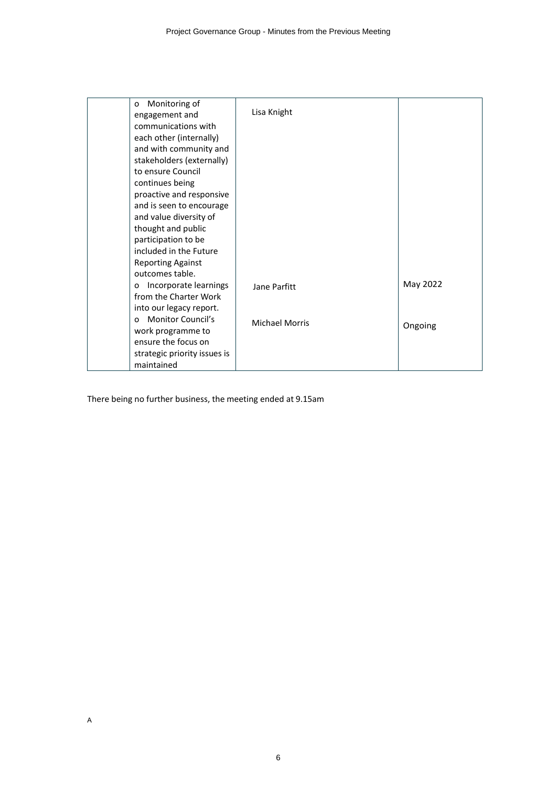| Monitoring of<br>0<br>engagement and<br>communications with<br>each other (internally)<br>and with community and<br>stakeholders (externally)<br>to ensure Council<br>continues being<br>proactive and responsive<br>and is seen to encourage<br>and value diversity of | Lisa Knight           |          |
|-------------------------------------------------------------------------------------------------------------------------------------------------------------------------------------------------------------------------------------------------------------------------|-----------------------|----------|
| thought and public<br>participation to be<br>included in the Future                                                                                                                                                                                                     |                       |          |
| <b>Reporting Against</b><br>outcomes table.                                                                                                                                                                                                                             |                       |          |
| Incorporate learnings<br>0<br>from the Charter Work<br>into our legacy report.                                                                                                                                                                                          | Jane Parfitt          | May 2022 |
| <b>Monitor Council's</b><br>$\Omega$<br>work programme to                                                                                                                                                                                                               | <b>Michael Morris</b> | Ongoing  |
| ensure the focus on<br>strategic priority issues is<br>maintained                                                                                                                                                                                                       |                       |          |

There being no further business, the meeting ended at 9.15am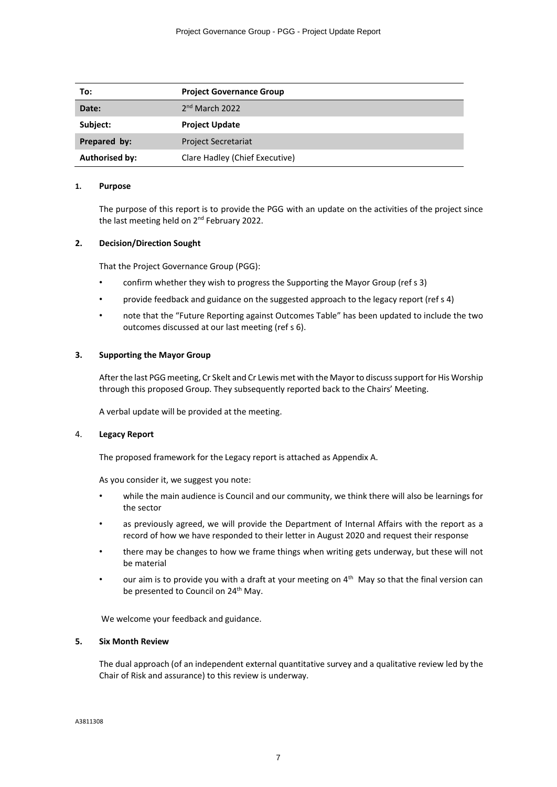| To:                   | <b>Project Governance Group</b> |
|-----------------------|---------------------------------|
| Date:                 | $2nd$ March 2022                |
| Subject:              | <b>Project Update</b>           |
| Prepared by:          | <b>Project Secretariat</b>      |
| <b>Authorised by:</b> | Clare Hadley (Chief Executive)  |

#### **1. Purpose**

The purpose of this report is to provide the PGG with an update on the activities of the project since the last meeting held on 2<sup>nd</sup> February 2022.

#### **2. Decision/Direction Sought**

That the Project Governance Group (PGG):

- confirm whether they wish to progress the Supporting the Mayor Group (ref s 3)
- provide feedback and guidance on the suggested approach to the legacy report (ref s 4)
- note that the "Future Reporting against Outcomes Table" has been updated to include the two outcomes discussed at our last meeting (ref s 6).

#### **3. Supporting the Mayor Group**

After the last PGG meeting, Cr Skelt and Cr Lewis met with the Mayor to discuss support for His Worship through this proposed Group. They subsequently reported back to the Chairs' Meeting.

A verbal update will be provided at the meeting.

#### 4. **Legacy Report**

The proposed framework for the Legacy report is attached as Appendix A.

As you consider it, we suggest you note:

- while the main audience is Council and our community, we think there will also be learnings for the sector
- as previously agreed, we will provide the Department of Internal Affairs with the report as a record of how we have responded to their letter in August 2020 and request their response
- there may be changes to how we frame things when writing gets underway, but these will not be material
- our aim is to provide you with a draft at your meeting on  $4<sup>th</sup>$  May so that the final version can be presented to Council on 24<sup>th</sup> May.

We welcome your feedback and guidance.

#### **5. Six Month Review**

The dual approach (of an independent external quantitative survey and a qualitative review led by the Chair of Risk and assurance) to this review is underway.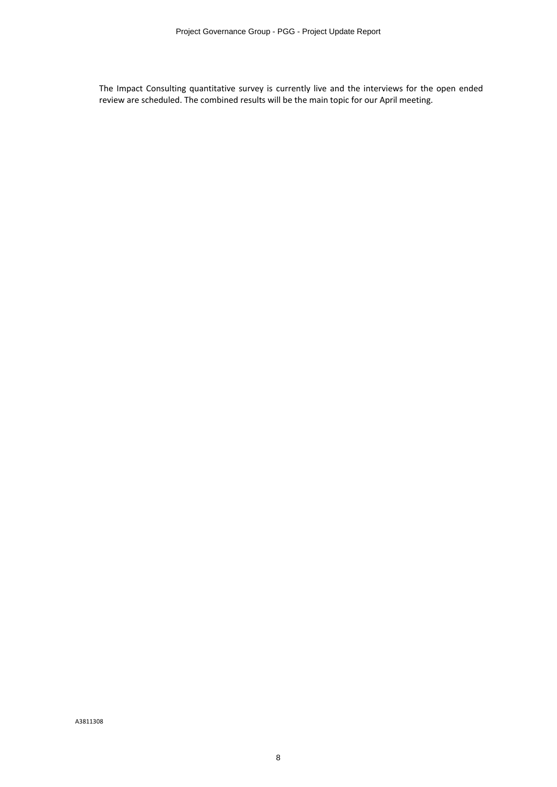The Impact Consulting quantitative survey is currently live and the interviews for the open ended review are scheduled. The combined results will be the main topic for our April meeting.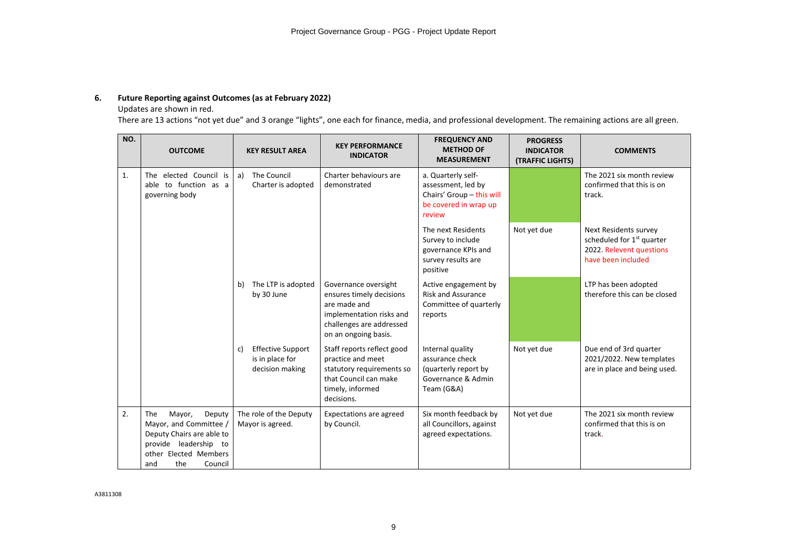## **6. Future Reporting against Outcomes (as at February 2022)**

## Updates are shown in red.

There are 13 actions "not yet due" and 3 orange "lights", one each for finance, media, and professional development. The remaining actions are all green.

| NO. | <b>OUTCOME</b>                                                                                                                                            | <b>KEY RESULT AREA</b>                                               | <b>KEY PERFORMANCE</b><br><b>INDICATOR</b>                                                                                                       | <b>FREQUENCY AND</b><br><b>METHOD OF</b><br><b>MEASUREMENT</b>                                           | <b>PROGRESS</b><br><b>INDICATOR</b><br>(TRAFFIC LIGHTS) | <b>COMMENTS</b>                                                                                                  |
|-----|-----------------------------------------------------------------------------------------------------------------------------------------------------------|----------------------------------------------------------------------|--------------------------------------------------------------------------------------------------------------------------------------------------|----------------------------------------------------------------------------------------------------------|---------------------------------------------------------|------------------------------------------------------------------------------------------------------------------|
| 1.  | The elected Council is<br>able to function as a<br>governing body                                                                                         | The Council<br>a)<br>Charter is adopted                              | Charter behaviours are<br>demonstrated                                                                                                           | a. Quarterly self-<br>assessment, led by<br>Chairs' Group - this will<br>be covered in wrap up<br>review |                                                         | The 2021 six month review<br>confirmed that this is on<br>track.                                                 |
|     |                                                                                                                                                           |                                                                      |                                                                                                                                                  | The next Residents<br>Survey to include<br>governance KPIs and<br>survey results are<br>positive         | Not yet due                                             | Next Residents survey<br>scheduled for 1 <sup>st</sup> quarter<br>2022. Relevent questions<br>have been included |
|     |                                                                                                                                                           | The LTP is adopted<br>b)<br>by 30 June                               | Governance oversight<br>ensures timely decisions<br>are made and<br>implementation risks and<br>challenges are addressed<br>on an ongoing basis. | Active engagement by<br><b>Risk and Assurance</b><br>Committee of quarterly<br>reports                   |                                                         | LTP has been adopted<br>therefore this can be closed                                                             |
|     |                                                                                                                                                           | <b>Effective Support</b><br>C)<br>is in place for<br>decision making | Staff reports reflect good<br>practice and meet<br>statutory requirements so<br>that Council can make<br>timely, informed<br>decisions.          | Internal quality<br>assurance check<br>(quarterly report by<br>Governance & Admin<br>Team (G&A)          | Not yet due                                             | Due end of 3rd quarter<br>2021/2022. New templates<br>are in place and being used.                               |
| 2.  | The<br>Mayor,<br>Deputy<br>Mayor, and Committee /<br>Deputy Chairs are able to<br>provide leadership to<br>other Elected Members<br>the<br>Council<br>and | The role of the Deputy<br>Mayor is agreed.                           | Expectations are agreed<br>by Council.                                                                                                           | Six month feedback by<br>all Councillors, against<br>agreed expectations.                                | Not yet due                                             | The 2021 six month review<br>confirmed that this is on<br>track.                                                 |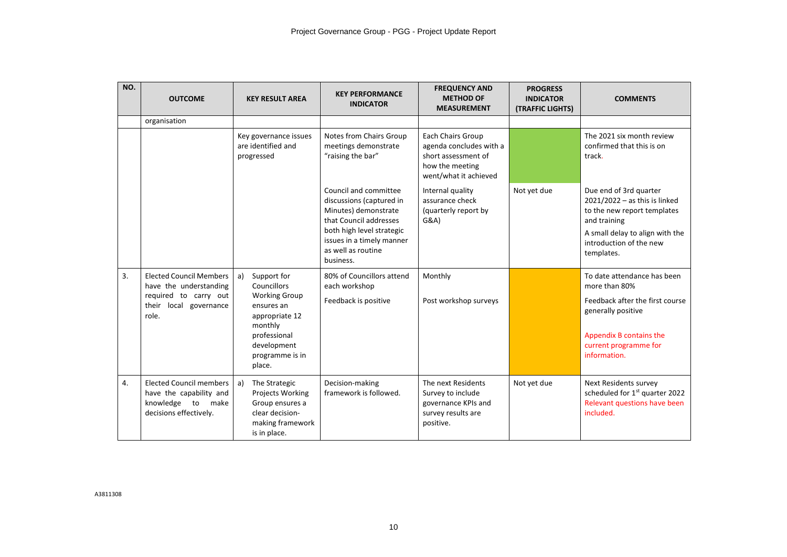| NO. | <b>OUTCOME</b>                                                                                                       | <b>KEY RESULT AREA</b>                                                                                                                                          | <b>KEY PERFORMANCE</b><br><b>INDICATOR</b>                                                                                                                                                       | <b>FREQUENCY AND</b><br><b>METHOD OF</b><br><b>MEASUREMENT</b>                                                  | <b>PROGRESS</b><br><b>INDICATOR</b><br>(TRAFFIC LIGHTS) | <b>COMMENTS</b>                                                                                                                                                                      |
|-----|----------------------------------------------------------------------------------------------------------------------|-----------------------------------------------------------------------------------------------------------------------------------------------------------------|--------------------------------------------------------------------------------------------------------------------------------------------------------------------------------------------------|-----------------------------------------------------------------------------------------------------------------|---------------------------------------------------------|--------------------------------------------------------------------------------------------------------------------------------------------------------------------------------------|
|     | organisation                                                                                                         |                                                                                                                                                                 |                                                                                                                                                                                                  |                                                                                                                 |                                                         |                                                                                                                                                                                      |
|     |                                                                                                                      | Key governance issues<br>are identified and<br>progressed                                                                                                       | Notes from Chairs Group<br>meetings demonstrate<br>"raising the bar"                                                                                                                             | Each Chairs Group<br>agenda concludes with a<br>short assessment of<br>how the meeting<br>went/what it achieved |                                                         | The 2021 six month review<br>confirmed that this is on<br>track.                                                                                                                     |
|     |                                                                                                                      |                                                                                                                                                                 | Council and committee<br>discussions (captured in<br>Minutes) demonstrate<br>that Council addresses<br>both high level strategic<br>issues in a timely manner<br>as well as routine<br>business. | Internal quality<br>assurance check<br>(quarterly report by<br>G&A)                                             | Not yet due                                             | Due end of 3rd quarter<br>$2021/2022 - as this is linked$<br>to the new report templates<br>and training<br>A small delay to align with the<br>introduction of the new<br>templates. |
| 3.  | <b>Elected Council Members</b><br>have the understanding<br>required to carry out<br>their local governance<br>role. | Support for<br>a)<br>Councillors<br><b>Working Group</b><br>ensures an<br>appropriate 12<br>monthly<br>professional<br>development<br>programme is in<br>place. | 80% of Councillors attend<br>each workshop<br>Feedback is positive                                                                                                                               | Monthly<br>Post workshop surveys                                                                                |                                                         | To date attendance has been<br>more than 80%<br>Feedback after the first course<br>generally positive<br>Appendix B contains the<br>current programme for<br>information.            |
| 4.  | <b>Elected Council members</b><br>have the capability and<br>knowledge to make<br>decisions effectively.             | a)<br>The Strategic<br>Projects Working<br>Group ensures a<br>clear decision-<br>making framework<br>is in place.                                               | Decision-making<br>framework is followed.                                                                                                                                                        | The next Residents<br>Survey to include<br>governance KPIs and<br>survey results are<br>positive.               | Not yet due                                             | <b>Next Residents survey</b><br>scheduled for 1st quarter 2022<br>Relevant questions have been<br>included.                                                                          |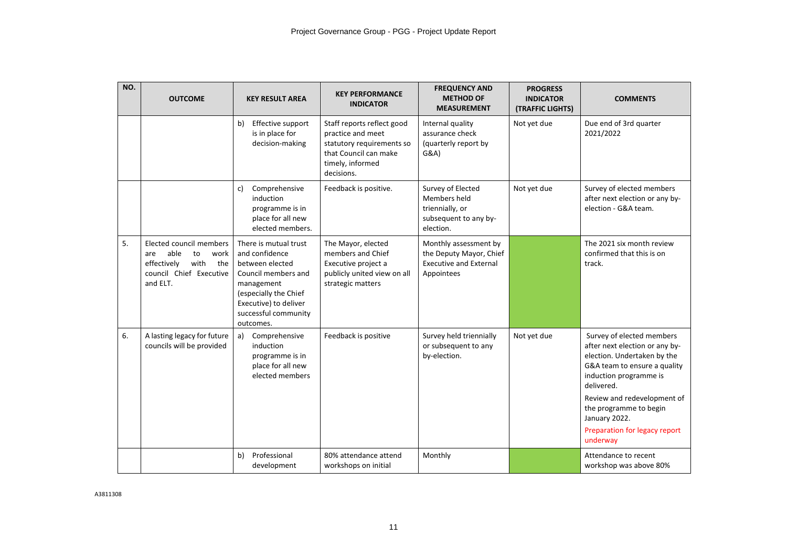| NO. | <b>OUTCOME</b>                                                                                                            | <b>KEY RESULT AREA</b>                                                                                                                                                                 | <b>KEY PERFORMANCE</b><br><b>INDICATOR</b>                                                                                              | <b>FREQUENCY AND</b><br><b>METHOD OF</b><br><b>MEASUREMENT</b>                                  | <b>PROGRESS</b><br><b>INDICATOR</b><br>(TRAFFIC LIGHTS) | <b>COMMENTS</b>                                                                                                                                                                                                                                                                           |
|-----|---------------------------------------------------------------------------------------------------------------------------|----------------------------------------------------------------------------------------------------------------------------------------------------------------------------------------|-----------------------------------------------------------------------------------------------------------------------------------------|-------------------------------------------------------------------------------------------------|---------------------------------------------------------|-------------------------------------------------------------------------------------------------------------------------------------------------------------------------------------------------------------------------------------------------------------------------------------------|
|     |                                                                                                                           | Effective support<br>b)<br>is in place for<br>decision-making                                                                                                                          | Staff reports reflect good<br>practice and meet<br>statutory requirements so<br>that Council can make<br>timely, informed<br>decisions. | Internal quality<br>assurance check<br>(quarterly report by<br>G&A)                             | Not yet due                                             | Due end of 3rd quarter<br>2021/2022                                                                                                                                                                                                                                                       |
|     |                                                                                                                           | Comprehensive<br>c)<br>induction<br>programme is in<br>place for all new<br>elected members.                                                                                           | Feedback is positive.                                                                                                                   | Survey of Elected<br>Members held<br>triennially, or<br>subsequent to any by-<br>election.      | Not yet due                                             | Survey of elected members<br>after next election or any by-<br>election - G&A team.                                                                                                                                                                                                       |
| 5.  | Elected council members<br>able<br>work<br>are<br>to<br>effectively<br>with<br>the<br>council Chief Executive<br>and ELT. | There is mutual trust<br>and confidence<br>between elected<br>Council members and<br>management<br>(especially the Chief<br>Executive) to deliver<br>successful community<br>outcomes. | The Mayor, elected<br>members and Chief<br>Executive project a<br>publicly united view on all<br>strategic matters                      | Monthly assessment by<br>the Deputy Mayor, Chief<br><b>Executive and External</b><br>Appointees |                                                         | The 2021 six month review<br>confirmed that this is on<br>track.                                                                                                                                                                                                                          |
| 6.  | A lasting legacy for future<br>councils will be provided                                                                  | Comprehensive<br>a)<br>induction<br>programme is in<br>place for all new<br>elected members                                                                                            | Feedback is positive                                                                                                                    | Survey held triennially<br>or subsequent to any<br>by-election.                                 | Not yet due                                             | Survey of elected members<br>after next election or any by-<br>election. Undertaken by the<br>G&A team to ensure a quality<br>induction programme is<br>delivered.<br>Review and redevelopment of<br>the programme to begin<br>January 2022.<br>Preparation for legacy report<br>underway |
|     |                                                                                                                           | Professional<br>b)<br>development                                                                                                                                                      | 80% attendance attend<br>workshops on initial                                                                                           | Monthly                                                                                         |                                                         | Attendance to recent<br>workshop was above 80%                                                                                                                                                                                                                                            |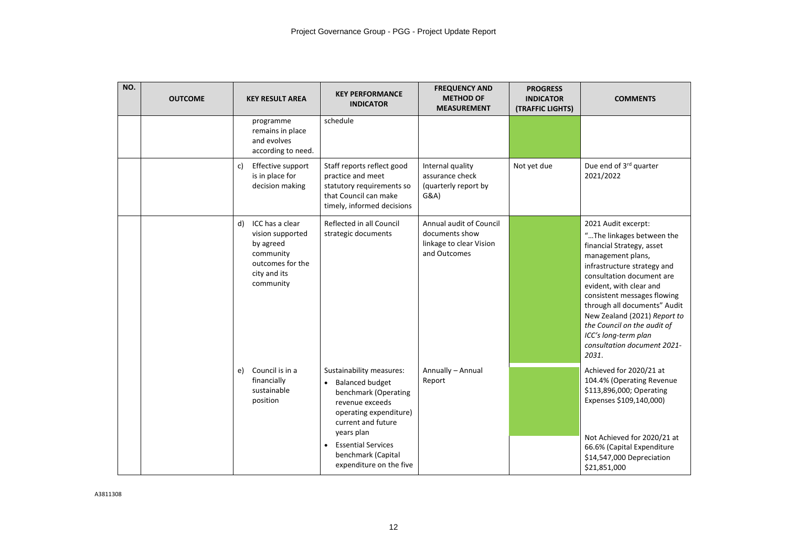| NO. | <b>OUTCOME</b> | <b>KEY RESULT AREA</b>                                                                                               | <b>KEY PERFORMANCE</b><br><b>INDICATOR</b>                                                                                                                                                                                                             | <b>FREQUENCY AND</b><br><b>METHOD OF</b><br><b>MEASUREMENT</b>                       | <b>PROGRESS</b><br><b>INDICATOR</b><br>(TRAFFIC LIGHTS) | <b>COMMENTS</b>                                                                                                                                                                                                                                                                                                                                                                         |
|-----|----------------|----------------------------------------------------------------------------------------------------------------------|--------------------------------------------------------------------------------------------------------------------------------------------------------------------------------------------------------------------------------------------------------|--------------------------------------------------------------------------------------|---------------------------------------------------------|-----------------------------------------------------------------------------------------------------------------------------------------------------------------------------------------------------------------------------------------------------------------------------------------------------------------------------------------------------------------------------------------|
|     |                | programme<br>remains in place<br>and evolves<br>according to need.                                                   | schedule                                                                                                                                                                                                                                               |                                                                                      |                                                         |                                                                                                                                                                                                                                                                                                                                                                                         |
|     |                | Effective support<br>c)<br>is in place for<br>decision making                                                        | Staff reports reflect good<br>practice and meet<br>statutory requirements so<br>that Council can make<br>timely, informed decisions                                                                                                                    | Internal quality<br>assurance check<br>(quarterly report by<br>G&A)                  | Not yet due                                             | Due end of 3rd quarter<br>2021/2022                                                                                                                                                                                                                                                                                                                                                     |
|     |                | ICC has a clear<br>d)<br>vision supported<br>by agreed<br>community<br>outcomes for the<br>city and its<br>community | Reflected in all Council<br>strategic documents                                                                                                                                                                                                        | Annual audit of Council<br>documents show<br>linkage to clear Vision<br>and Outcomes |                                                         | 2021 Audit excerpt:<br>"The linkages between the<br>financial Strategy, asset<br>management plans,<br>infrastructure strategy and<br>consultation document are<br>evident, with clear and<br>consistent messages flowing<br>through all documents" Audit<br>New Zealand (2021) Report to<br>the Council on the audit of<br>ICC's long-term plan<br>consultation document 2021-<br>2031. |
|     |                | Council is in a<br>e)<br>financially<br>sustainable<br>position                                                      | Sustainability measures:<br><b>Balanced budget</b><br>$\bullet$<br>benchmark (Operating<br>revenue exceeds<br>operating expenditure)<br>current and future<br>years plan<br><b>Essential Services</b><br>benchmark (Capital<br>expenditure on the five | Annually - Annual<br>Report                                                          |                                                         | Achieved for 2020/21 at<br>104.4% (Operating Revenue<br>\$113,896,000; Operating<br>Expenses \$109,140,000)<br>Not Achieved for 2020/21 at<br>66.6% (Capital Expenditure<br>\$14,547,000 Depreciation<br>\$21,851,000                                                                                                                                                                   |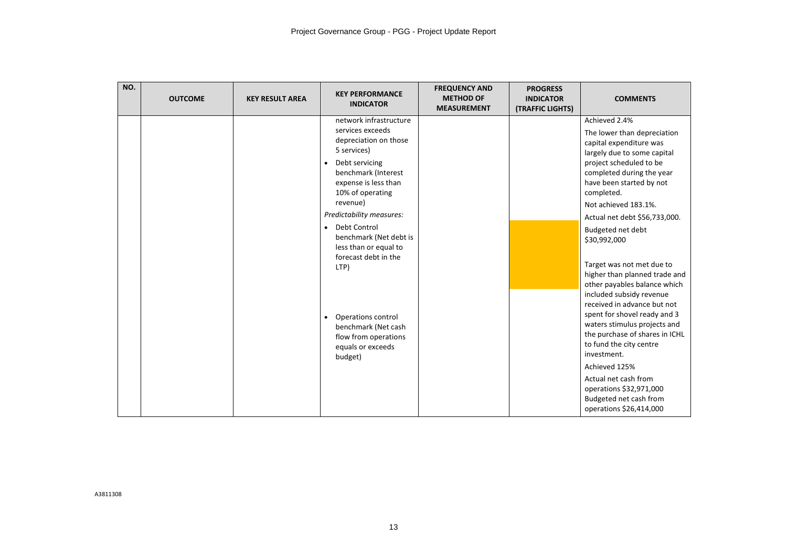| NO. | <b>OUTCOME</b> | <b>KEY RESULT AREA</b> | <b>KEY PERFORMANCE</b><br><b>INDICATOR</b>                                                                                                                                                                                                                                                                                                                                                                                                                     | <b>FREQUENCY AND</b><br><b>METHOD OF</b><br><b>MEASUREMENT</b> | <b>PROGRESS</b><br><b>INDICATOR</b><br>(TRAFFIC LIGHTS) | <b>COMMENTS</b>                                                                                                                                                                                                                                                                                                                                                                                                                                                                                                                                                                                                                                                                                           |
|-----|----------------|------------------------|----------------------------------------------------------------------------------------------------------------------------------------------------------------------------------------------------------------------------------------------------------------------------------------------------------------------------------------------------------------------------------------------------------------------------------------------------------------|----------------------------------------------------------------|---------------------------------------------------------|-----------------------------------------------------------------------------------------------------------------------------------------------------------------------------------------------------------------------------------------------------------------------------------------------------------------------------------------------------------------------------------------------------------------------------------------------------------------------------------------------------------------------------------------------------------------------------------------------------------------------------------------------------------------------------------------------------------|
|     |                |                        | network infrastructure<br>services exceeds<br>depreciation on those<br>5 services)<br>Debt servicing<br>$\bullet$<br>benchmark (Interest<br>expense is less than<br>10% of operating<br>revenue)<br>Predictability measures:<br>Debt Control<br>$\bullet$<br>benchmark (Net debt is<br>less than or equal to<br>forecast debt in the<br>LTP)<br>Operations control<br>$\bullet$<br>benchmark (Net cash<br>flow from operations<br>equals or exceeds<br>budget) |                                                                |                                                         | Achieved 2.4%<br>The lower than depreciation<br>capital expenditure was<br>largely due to some capital<br>project scheduled to be<br>completed during the year<br>have been started by not<br>completed.<br>Not achieved 183.1%.<br>Actual net debt \$56,733,000.<br>Budgeted net debt<br>\$30,992,000<br>Target was not met due to<br>higher than planned trade and<br>other payables balance which<br>included subsidy revenue<br>received in advance but not<br>spent for shovel ready and 3<br>waters stimulus projects and<br>the purchase of shares in ICHL<br>to fund the city centre<br>investment.<br>Achieved 125%<br>Actual net cash from<br>operations \$32,971,000<br>Budgeted net cash from |
|     |                |                        |                                                                                                                                                                                                                                                                                                                                                                                                                                                                |                                                                |                                                         | operations \$26,414,000                                                                                                                                                                                                                                                                                                                                                                                                                                                                                                                                                                                                                                                                                   |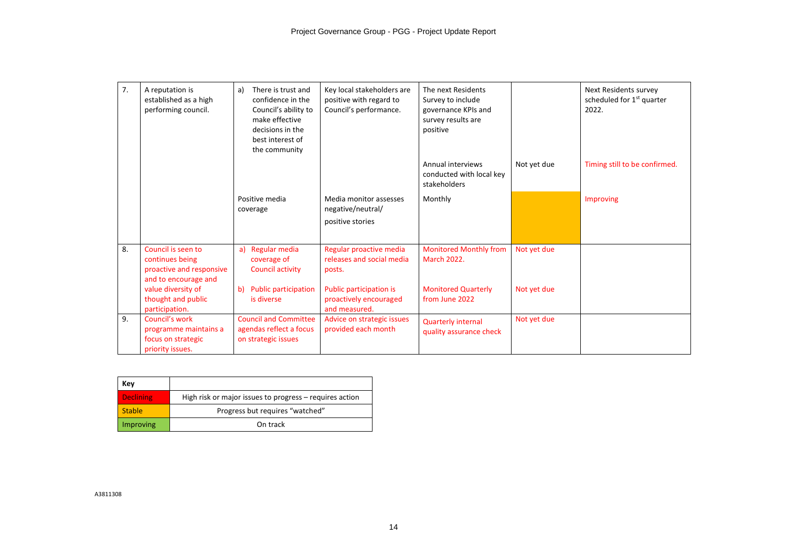| 7. | A reputation is<br>established as a high<br>performing council.                           | There is trust and<br>a)<br>confidence in the<br>Council's ability to<br>make effective<br>decisions in the<br>best interest of<br>the community | Key local stakeholders are<br>positive with regard to<br>Council's performance. | The next Residents<br>Survey to include<br>governance KPIs and<br>survey results are<br>positive |             | Next Residents survey<br>scheduled for 1 <sup>st</sup> quarter<br>2022. |
|----|-------------------------------------------------------------------------------------------|--------------------------------------------------------------------------------------------------------------------------------------------------|---------------------------------------------------------------------------------|--------------------------------------------------------------------------------------------------|-------------|-------------------------------------------------------------------------|
|    |                                                                                           |                                                                                                                                                  |                                                                                 | Annual interviews<br>conducted with local key<br>stakeholders                                    | Not yet due | Timing still to be confirmed.                                           |
|    |                                                                                           | Positive media<br>coverage                                                                                                                       | Media monitor assesses<br>negative/neutral/<br>positive stories                 | Monthly                                                                                          |             | Improving                                                               |
| 8. | Council is seen to<br>continues being<br>proactive and responsive<br>and to encourage and | Regular media<br>a)<br>coverage of<br>Council activity                                                                                           | Regular proactive media<br>releases and social media<br>posts.                  | <b>Monitored Monthly from</b><br><b>March 2022.</b>                                              | Not yet due |                                                                         |
|    | value diversity of<br>thought and public<br>participation.                                | <b>Public participation</b><br>b)<br>is diverse                                                                                                  | Public participation is<br>proactively encouraged<br>and measured.              | <b>Monitored Quarterly</b><br>from June 2022                                                     | Not yet due |                                                                         |
| 9. | Council's work<br>programme maintains a<br>focus on strategic<br>priority issues.         | <b>Council and Committee</b><br>agendas reflect a focus<br>on strategic issues                                                                   | Advice on strategic issues<br>provided each month                               | <b>Quarterly internal</b><br>quality assurance check                                             | Not yet due |                                                                         |

| Kev              |                                                         |
|------------------|---------------------------------------------------------|
| <b>Declining</b> | High risk or major issues to progress - requires action |
| <b>Stable</b>    | Progress but requires "watched"                         |
| Improving        | On track                                                |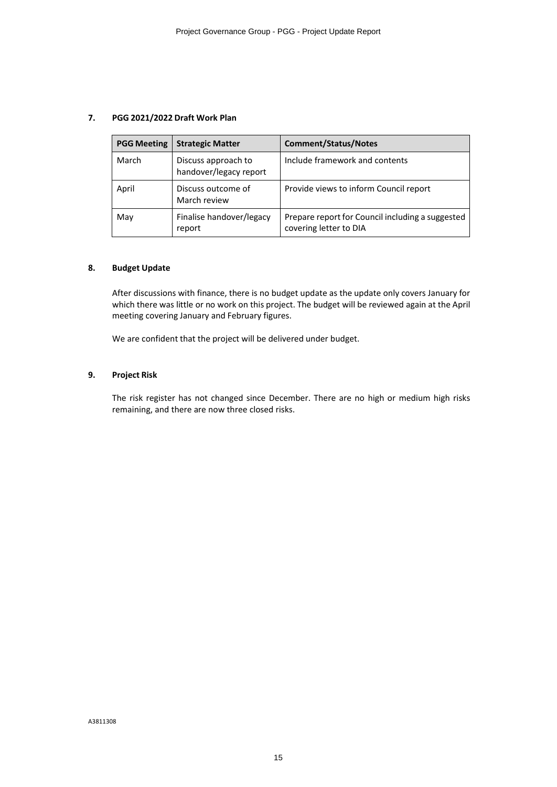## **7. PGG 2021/2022 Draft Work Plan**

| <b>PGG Meeting</b> | <b>Strategic Matter</b>                       | <b>Comment/Status/Notes</b>                                                |
|--------------------|-----------------------------------------------|----------------------------------------------------------------------------|
| March              | Discuss approach to<br>handover/legacy report | Include framework and contents                                             |
| April              | Discuss outcome of<br>March review            | Provide views to inform Council report                                     |
| May                | Finalise handover/legacy<br>report            | Prepare report for Council including a suggested<br>covering letter to DIA |

## **8. Budget Update**

After discussions with finance, there is no budget update as the update only covers January for which there was little or no work on this project. The budget will be reviewed again at the April meeting covering January and February figures.

We are confident that the project will be delivered under budget.

## **9. Project Risk**

The risk register has not changed since December. There are no high or medium high risks remaining, and there are now three closed risks.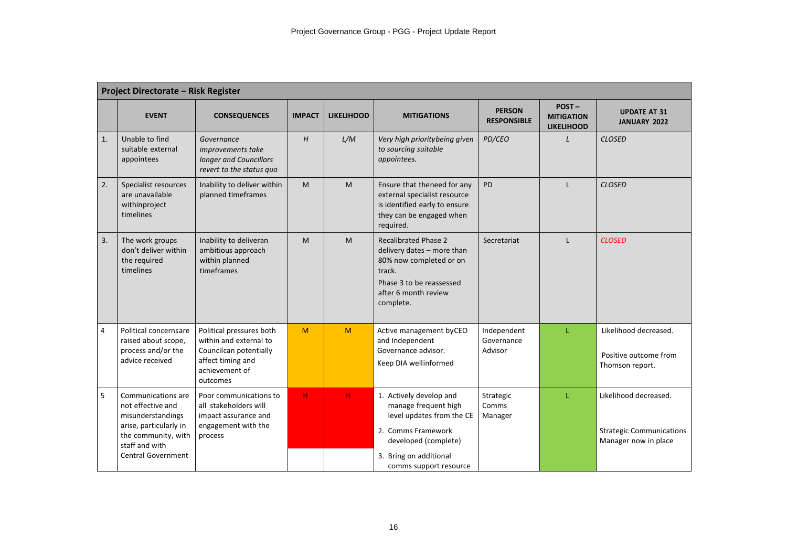|                | <b>Project Directorate - Risk Register</b>                                                                                                            |                                                                                                                                 |               |                   |                                                                                                                                                                                |                                      |                                                 |                                                                                  |  |  |
|----------------|-------------------------------------------------------------------------------------------------------------------------------------------------------|---------------------------------------------------------------------------------------------------------------------------------|---------------|-------------------|--------------------------------------------------------------------------------------------------------------------------------------------------------------------------------|--------------------------------------|-------------------------------------------------|----------------------------------------------------------------------------------|--|--|
|                | <b>EVENT</b>                                                                                                                                          | <b>CONSEQUENCES</b>                                                                                                             | <b>IMPACT</b> | <b>LIKELIHOOD</b> | <b>MITIGATIONS</b>                                                                                                                                                             | <b>PERSON</b><br><b>RESPONSIBLE</b>  | POST-<br><b>MITIGATION</b><br><b>LIKELIHOOD</b> | <b>UPDATE AT 31</b><br>JANUARY 2022                                              |  |  |
| 1.             | Unable to find<br>suitable external<br>appointees                                                                                                     | Governance<br>improvements take<br>longer and Councillors<br>revert to the status quo                                           | H             | L/M               | Very high priority being given<br>to sourcing suitable<br>appointees.                                                                                                          | PD/CEO                               | $\mathbf{I}$                                    | <b>CLOSED</b>                                                                    |  |  |
| 2.             | Specialist resources<br>are unavailable<br>withinproject<br>timelines                                                                                 | Inability to deliver within<br>planned timeframes                                                                               | M             | M                 | Ensure that theneed for any<br>external specialist resource<br>is identified early to ensure<br>they can be engaged when<br>required.                                          | <b>PD</b>                            | $\mathbf{L}$                                    | <b>CLOSED</b>                                                                    |  |  |
| 3.             | The work groups<br>don't deliver within<br>the required<br>timelines                                                                                  | Inability to deliveran<br>ambitious approach<br>within planned<br>timeframes                                                    | M             | M                 | <b>Recalibrated Phase 2</b><br>delivery dates - more than<br>80% now completed or on<br>track.<br>Phase 3 to be reassessed<br>after 6 month review<br>complete.                | Secretariat                          | L                                               | <b>CLOSED</b>                                                                    |  |  |
| $\overline{4}$ | Political concernsare<br>raised about scope,<br>process and/or the<br>advice received                                                                 | Political pressures both<br>within and external to<br>Councilcan potentially<br>affect timing and<br>achievement of<br>outcomes | M             | M                 | Active management byCEO<br>and Independent<br>Governance advisor.<br>Keep DIA wellinformed                                                                                     | Independent<br>Governance<br>Advisor | L.                                              | Likelihood decreased.<br>Positive outcome from<br>Thomson report.                |  |  |
| 5              | Communications are<br>not effective and<br>misunderstandings<br>arise, particularly in<br>the community, with<br>staff and with<br>Central Government | Poor communications to<br>all stakeholders will<br>impact assurance and<br>engagement with the<br>process                       | H             | н                 | 1. Actively develop and<br>manage frequent high<br>level updates from the CE<br>2. Comms Framework<br>developed (complete)<br>3. Bring on additional<br>comms support resource | Strategic<br>Comms<br>Manager        | T                                               | Likelihood decreased.<br><b>Strategic Communications</b><br>Manager now in place |  |  |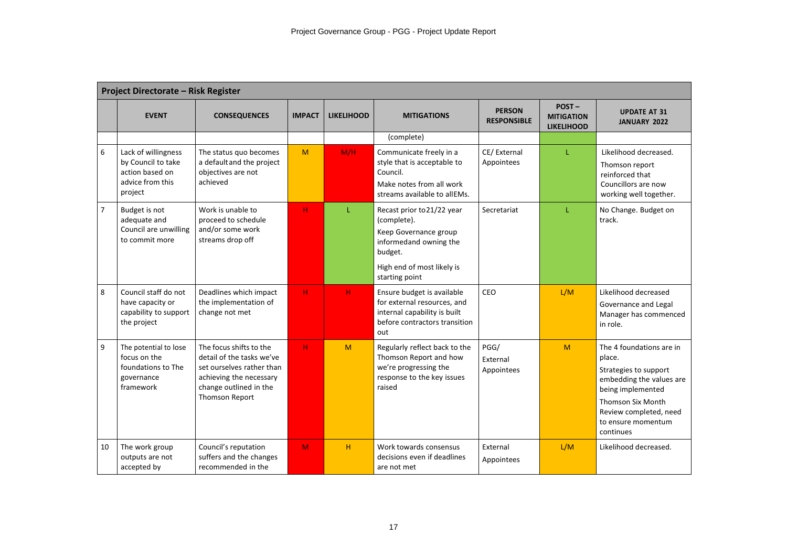|                | <b>Project Directorate - Risk Register</b>                                                  |                                                                                                                                                          |               |                   |                                                                                                                                                         |                                     |                                                    |                                                                                                                                                                                                       |  |
|----------------|---------------------------------------------------------------------------------------------|----------------------------------------------------------------------------------------------------------------------------------------------------------|---------------|-------------------|---------------------------------------------------------------------------------------------------------------------------------------------------------|-------------------------------------|----------------------------------------------------|-------------------------------------------------------------------------------------------------------------------------------------------------------------------------------------------------------|--|
|                | <b>EVENT</b>                                                                                | <b>CONSEQUENCES</b>                                                                                                                                      | <b>IMPACT</b> | <b>LIKELIHOOD</b> | <b>MITIGATIONS</b>                                                                                                                                      | <b>PERSON</b><br><b>RESPONSIBLE</b> | $POST -$<br><b>MITIGATION</b><br><b>LIKELIHOOD</b> | <b>UPDATE AT 31</b><br>JANUARY 2022                                                                                                                                                                   |  |
|                |                                                                                             |                                                                                                                                                          |               |                   | (complete)                                                                                                                                              |                                     |                                                    |                                                                                                                                                                                                       |  |
| 6              | Lack of willingness<br>by Council to take<br>action based on<br>advice from this<br>project | The status quo becomes<br>a default and the project<br>objectives are not<br>achieved                                                                    | M             | M/H               | Communicate freely in a<br>style that is acceptable to<br>Council.<br>Make notes from all work<br>streams available to allEMs.                          | CE/External<br>Appointees           | T.                                                 | Likelihood decreased.<br>Thomson report<br>reinforced that<br>Councillors are now<br>working well together.                                                                                           |  |
| $\overline{7}$ | Budget is not<br>adequate and<br>Council are unwilling<br>to commit more                    | Work is unable to<br>proceed to schedule<br>and/or some work<br>streams drop off                                                                         | H             |                   | Recast prior to 21/22 year<br>(complete).<br>Keep Governance group<br>informedand owning the<br>budget.<br>High end of most likely is<br>starting point | Secretariat                         |                                                    | No Change. Budget on<br>track.                                                                                                                                                                        |  |
| 8              | Council staff do not<br>have capacity or<br>capability to support<br>the project            | Deadlines which impact<br>the implementation of<br>change not met                                                                                        | H.            | H                 | Ensure budget is available<br>for external resources, and<br>internal capability is built<br>before contractors transition<br>out                       | CEO                                 | L/M                                                | Likelihood decreased<br>Governance and Legal<br>Manager has commenced<br>in role.                                                                                                                     |  |
| 9              | The potential to lose<br>focus on the<br>foundations to The<br>governance<br>framework      | The focus shifts to the<br>detail of the tasks we've<br>set ourselves rather than<br>achieving the necessary<br>change outlined in the<br>Thomson Report | H.            | M                 | Regularly reflect back to the<br>Thomson Report and how<br>we're progressing the<br>response to the key issues<br>raised                                | PGG/<br>External<br>Appointees      | M                                                  | The 4 foundations are in<br>place.<br>Strategies to support<br>embedding the values are<br>being implemented<br><b>Thomson Six Month</b><br>Review completed, need<br>to ensure momentum<br>continues |  |
| 10             | The work group<br>outputs are not<br>accepted by                                            | Council's reputation<br>suffers and the changes<br>recommended in the                                                                                    | M             | H                 | Work towards consensus<br>decisions even if deadlines<br>are not met                                                                                    | External<br>Appointees              | L/M                                                | Likelihood decreased.                                                                                                                                                                                 |  |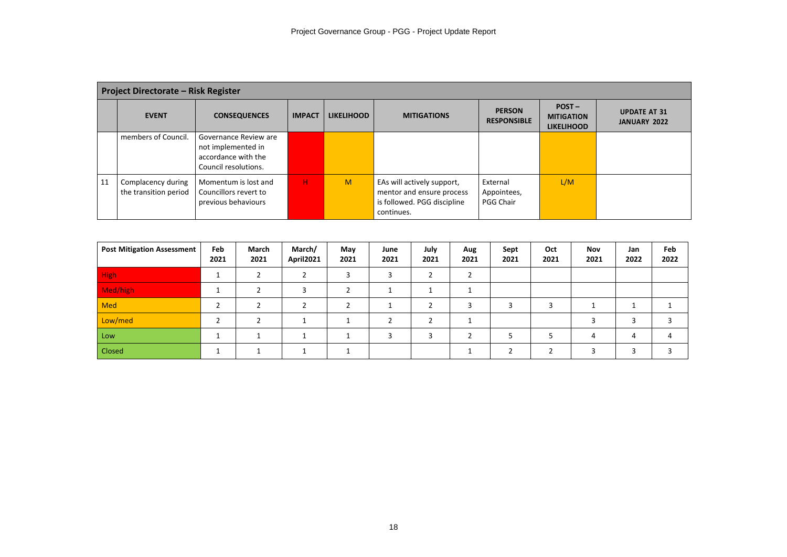|    | <b>Project Directorate - Risk Register</b>  |                                                                                            |               |                   |                                                                                                      |                                      |                                                    |                                            |  |  |
|----|---------------------------------------------|--------------------------------------------------------------------------------------------|---------------|-------------------|------------------------------------------------------------------------------------------------------|--------------------------------------|----------------------------------------------------|--------------------------------------------|--|--|
|    | <b>EVENT</b>                                | <b>CONSEQUENCES</b>                                                                        | <b>IMPACT</b> | <b>LIKELIHOOD</b> | <b>MITIGATIONS</b>                                                                                   | <b>PERSON</b><br><b>RESPONSIBLE</b>  | $POST -$<br><b>MITIGATION</b><br><b>LIKELIHOOD</b> | <b>UPDATE AT 31</b><br><b>JANUARY 2022</b> |  |  |
|    | members of Council.                         | Governance Review are<br>not implemented in<br>accordance with the<br>Council resolutions. |               |                   |                                                                                                      |                                      |                                                    |                                            |  |  |
| 11 | Complacency during<br>the transition period | Momentum is lost and<br>Councillors revert to<br>previous behaviours                       | н             | M                 | EAs will actively support,<br>mentor and ensure process<br>is followed. PGG discipline<br>continues. | External<br>Appointees,<br>PGG Chair | L/M                                                |                                            |  |  |

| <b>Post Mitigation Assessment</b> | Feb<br>2021 | March<br>2021 | March/<br>April2021 | May<br>2021 | June<br>2021 | July<br>2021 | Aug<br>2021 | Sept<br>2021 | Oct<br>2021 | <b>Nov</b><br>2021 | Jan<br>2022 | Feb<br>2022 |
|-----------------------------------|-------------|---------------|---------------------|-------------|--------------|--------------|-------------|--------------|-------------|--------------------|-------------|-------------|
| <b>High</b>                       |             |               |                     |             |              |              |             |              |             |                    |             |             |
| Med/high                          |             |               |                     |             |              |              |             |              |             |                    |             |             |
| <b>Med</b>                        | ◠           |               |                     |             |              |              |             |              |             |                    |             |             |
| Low/med                           |             |               |                     |             |              |              |             |              |             |                    |             |             |
| Low                               |             |               |                     |             |              |              |             |              |             |                    | 4           |             |
| Closed                            |             |               |                     |             |              |              |             |              |             |                    |             |             |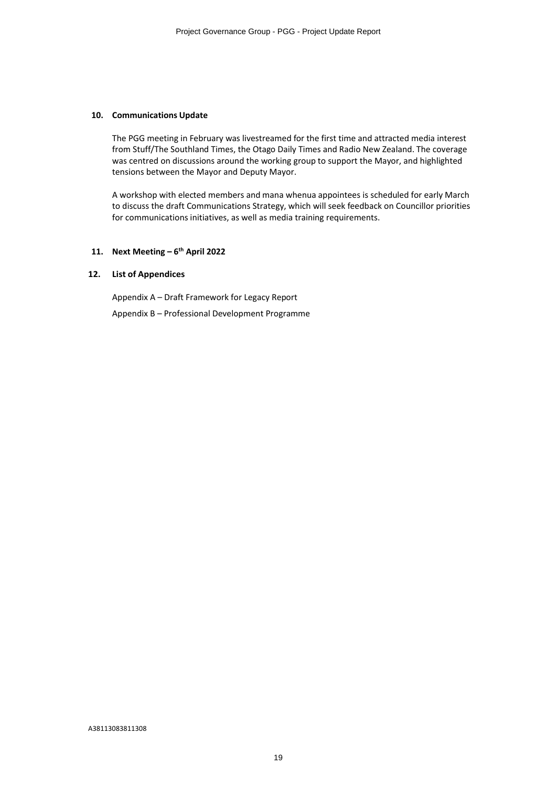#### **10. Communications Update**

The PGG meeting in February was livestreamed for the first time and attracted media interest from Stuff/The Southland Times, the Otago Daily Times and Radio New Zealand. The coverage was centred on discussions around the working group to support the Mayor, and highlighted tensions between the Mayor and Deputy Mayor.

A workshop with elected members and mana whenua appointees is scheduled for early March to discuss the draft Communications Strategy, which will seek feedback on Councillor priorities for communications initiatives, as well as media training requirements.

## **11. Next Meeting – 6th April 2022**

#### **12. List of Appendices**

Appendix A – Draft Framework for Legacy Report

Appendix B – Professional Development Programme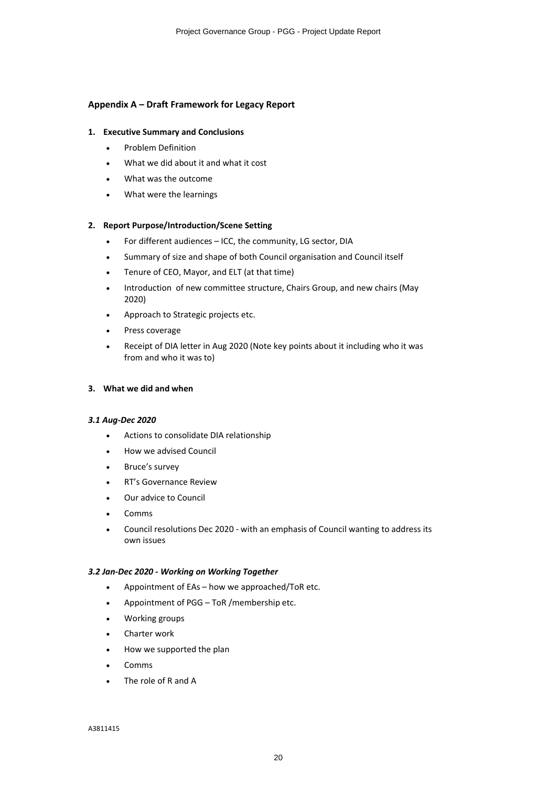## **Appendix A – Draft Framework for Legacy Report**

## **1. Executive Summary and Conclusions**

- ∑ Problem Definition
- What we did about it and what it cost
- ∑ What was the outcome
- What were the learnings

## **2. Report Purpose/Introduction/Scene Setting**

- ∑ For different audiences ICC, the community, LG sector, DIA
- Summary of size and shape of both Council organisation and Council itself
- Tenure of CEO, Mayor, and ELT (at that time)
- Introduction of new committee structure, Chairs Group, and new chairs (May 2020)
- ∑ Approach to Strategic projects etc.
- ∑ Press coverage
- Receipt of DIA letter in Aug 2020 (Note key points about it including who it was from and who it was to)

## **3. What we did and when**

## *3.1 Aug-Dec 2020*

- Actions to consolidate DIA relationship
- ∑ How we advised Council
- ∑ Bruce's survey
- ∑ RT's Governance Review
- ∑ Our advice to Council
- ∑ Comms
- ∑ Council resolutions Dec 2020 with an emphasis of Council wanting to address its own issues

## *3.2 Jan-Dec 2020 - Working on Working Together*

- Appointment of EAs how we approached/ToR etc.
- ∑ Appointment of PGG ToR /membership etc.
- Working groups
- ∑ Charter work
- How we supported the plan
- ∑ Comms
- The role of R and A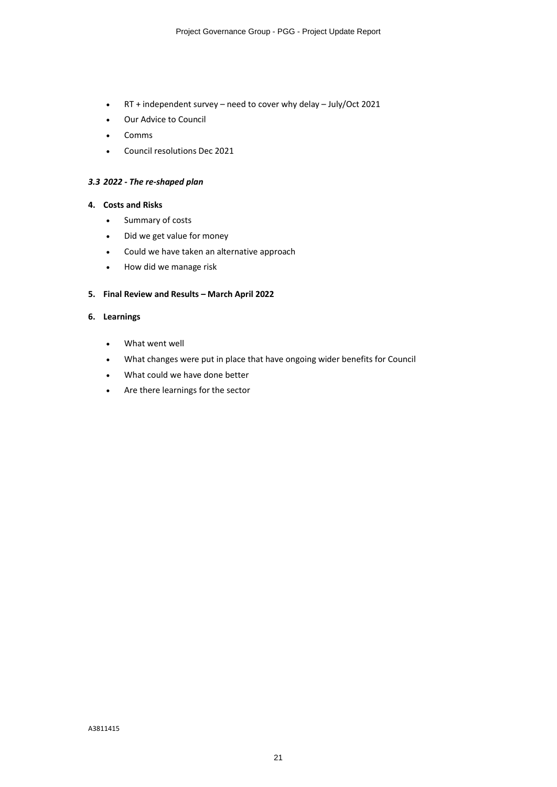- ∑ RT + independent survey need to cover why delay July/Oct 2021
- ∑ Our Advice to Council
- ∑ Comms
- ∑ Council resolutions Dec 2021

## *3.3 2022 - The re-shaped plan*

## **4. Costs and Risks**

- ∑ Summary of costs
- ∑ Did we get value for money
- ∑ Could we have taken an alternative approach
- ∑ How did we manage risk

## **5. Final Review and Results – March April 2022**

## **6. Learnings**

- What went well
- What changes were put in place that have ongoing wider benefits for Council
- What could we have done better
- ∑ Are there learnings for the sector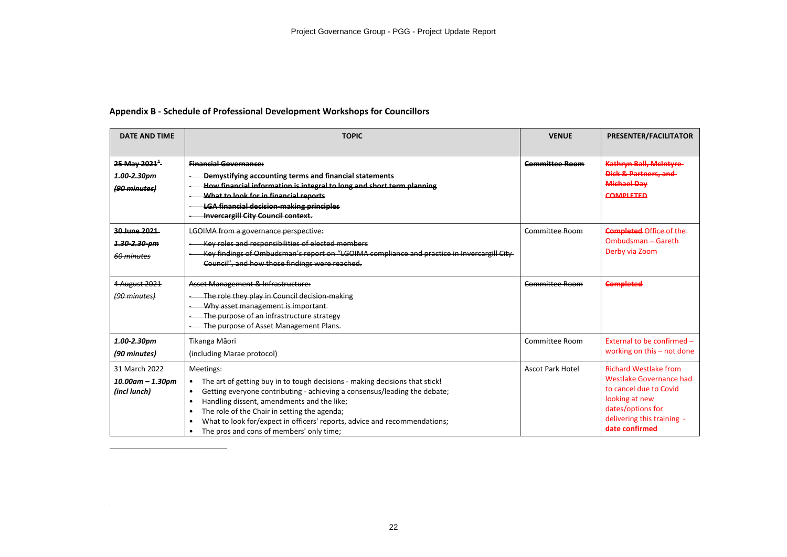## **Appendix B - Schedule of Professional Development Workshops for Councillors**

| <b>DATE AND TIME</b>                                    | <b>TOPIC</b>                                                                                                                                                                                                                                                                                                                                                                                                                                                       | <b>VENUE</b>            | PRESENTER/FACILITATOR                                                                                                                                                    |
|---------------------------------------------------------|--------------------------------------------------------------------------------------------------------------------------------------------------------------------------------------------------------------------------------------------------------------------------------------------------------------------------------------------------------------------------------------------------------------------------------------------------------------------|-------------------------|--------------------------------------------------------------------------------------------------------------------------------------------------------------------------|
|                                                         |                                                                                                                                                                                                                                                                                                                                                                                                                                                                    |                         |                                                                                                                                                                          |
| 25 May 2021 <sup>1</sup><br>1.00-2.30pm<br>(90 minutes) | <b>Financial Governance:</b><br>Demystifying accounting terms and financial statements<br>How financial information is integral to long and short term planning<br>What to look for in financial reports<br><b>LGA financial decision making principles</b><br><b>Invercargill City Council context.</b>                                                                                                                                                           | <b>Committee Room</b>   | Kathryn Ball, McIntyre-<br>Dick & Partners, and<br><b>Michael Day</b><br><b>COMPLETED</b>                                                                                |
| 20 June 2021<br>1.30-2.30-pm<br>60 minutes              | <b>LGOIMA from a governance perspective:</b><br>Key roles and responsibilities of elected members<br>Key findings of Ombudsman's report on "LGOIMA compliance and practice in Invercargill City-<br>Council", and how those findings were reached.                                                                                                                                                                                                                 | <b>Committee Room</b>   | <b>Completed Office of the</b><br>Ombudsman - Gareth-<br>Derby via Zoom                                                                                                  |
| 4 August 2021<br>(90 minutes)                           | Asset Management & Infrastructure:<br>The role they play in Council decision-making<br>Why asset management is important<br>The purpose of an infrastructure strategy<br>The purpose of Asset Management Plans.                                                                                                                                                                                                                                                    | Committee Room          | <b>Completed</b>                                                                                                                                                         |
| 1.00-2.30pm<br>(90 minutes)                             | Tikanga Māori<br>(including Marae protocol)                                                                                                                                                                                                                                                                                                                                                                                                                        | Committee Room          | External to be confirmed -<br>working on this - not done                                                                                                                 |
| 31 March 2022<br>$10.00$ am - 1.30pm<br>(incl lunch)    | Meetings:<br>The art of getting buy in to tough decisions - making decisions that stick!<br>٠<br>Getting everyone contributing - achieving a consensus/leading the debate;<br>$\bullet$<br>Handling dissent, amendments and the like;<br>$\bullet$<br>The role of the Chair in setting the agenda;<br>$\bullet$<br>What to look for/expect in officers' reports, advice and recommendations;<br>$\bullet$<br>The pros and cons of members' only time;<br>$\bullet$ | <b>Ascot Park Hotel</b> | <b>Richard Westlake from</b><br>Westlake Governance had<br>to cancel due to Covid<br>looking at new<br>dates/options for<br>delivering this training -<br>date confirmed |